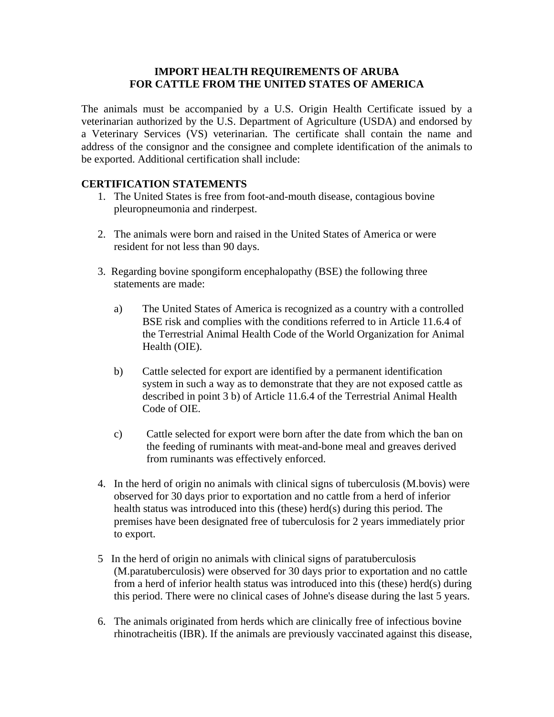## **IMPORT HEALTH REQUIREMENTS OF ARUBA FOR CATTLE FROM THE UNITED STATES OF AMERICA**

The animals must be accompanied by a U.S. Origin Health Certificate issued by a veterinarian authorized by the U.S. Department of Agriculture (USDA) and endorsed by a Veterinary Services (VS) veterinarian. The certificate shall contain the name and address of the consignor and the consignee and complete identification of the animals to be exported. Additional certification shall include:

## **CERTIFICATION STATEMENTS**

- 1. The United States is free from foot-and-mouth disease, contagious bovine pleuropneumonia and rinderpest.
- 2. The animals were born and raised in the United States of America or were resident for not less than 90 days.
- 3. Regarding bovine spongiform encephalopathy (BSE) the following three statements are made:
	- a) The United States of America is recognized as a country with a controlled BSE risk and complies with the conditions referred to in Article 11.6.4 of the Terrestrial Animal Health Code of the World Organization for Animal Health (OIE).
	- b) Cattle selected for export are identified by a permanent identification system in such a way as to demonstrate that they are not exposed cattle as described in point 3 b) of Article 11.6.4 of the Terrestrial Animal Health Code of OIE.
	- c) Cattle selected for export were born after the date from which the ban on the feeding of ruminants with meat-and-bone meal and greaves derived from ruminants was effectively enforced.
- 4. In the herd of origin no animals with clinical signs of tuberculosis (M.bovis) were observed for 30 days prior to exportation and no cattle from a herd of inferior health status was introduced into this (these) herd(s) during this period. The premises have been designated free of tuberculosis for 2 years immediately prior to export.
- 5 In the herd of origin no animals with clinical signs of paratuberculosis (M.paratuberculosis) were observed for 30 days prior to exportation and no cattle from a herd of inferior health status was introduced into this (these) herd(s) during this period. There were no clinical cases of Johne's disease during the last 5 years.
- 6. The animals originated from herds which are clinically free of infectious bovine rhinotracheitis (IBR). If the animals are previously vaccinated against this disease,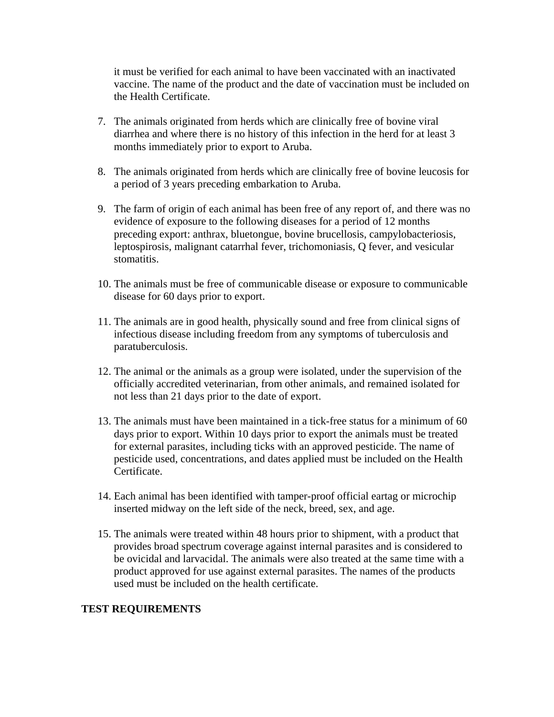it must be verified for each animal to have been vaccinated with an inactivated vaccine. The name of the product and the date of vaccination must be included on the Health Certificate.

- 7. The animals originated from herds which are clinically free of bovine viral diarrhea and where there is no history of this infection in the herd for at least 3 months immediately prior to export to Aruba.
- 8. The animals originated from herds which are clinically free of bovine leucosis for a period of 3 years preceding embarkation to Aruba.
- 9. The farm of origin of each animal has been free of any report of, and there was no evidence of exposure to the following diseases for a period of 12 months preceding export: anthrax, bluetongue, bovine brucellosis, campylobacteriosis, leptospirosis, malignant catarrhal fever, trichomoniasis, Q fever, and vesicular stomatitis.
- 10. The animals must be free of communicable disease or exposure to communicable disease for 60 days prior to export.
- 11. The animals are in good health, physically sound and free from clinical signs of infectious disease including freedom from any symptoms of tuberculosis and paratuberculosis.
- 12. The animal or the animals as a group were isolated, under the supervision of the officially accredited veterinarian, from other animals, and remained isolated for not less than 21 days prior to the date of export.
- 13. The animals must have been maintained in a tick-free status for a minimum of 60 days prior to export. Within 10 days prior to export the animals must be treated for external parasites, including ticks with an approved pesticide. The name of pesticide used, concentrations, and dates applied must be included on the Health Certificate.
- 14. Each animal has been identified with tamper-proof official eartag or microchip inserted midway on the left side of the neck, breed, sex, and age.
- 15. The animals were treated within 48 hours prior to shipment, with a product that provides broad spectrum coverage against internal parasites and is considered to be ovicidal and larvacidal. The animals were also treated at the same time with a product approved for use against external parasites. The names of the products used must be included on the health certificate.

#### **TEST REQUIREMENTS**